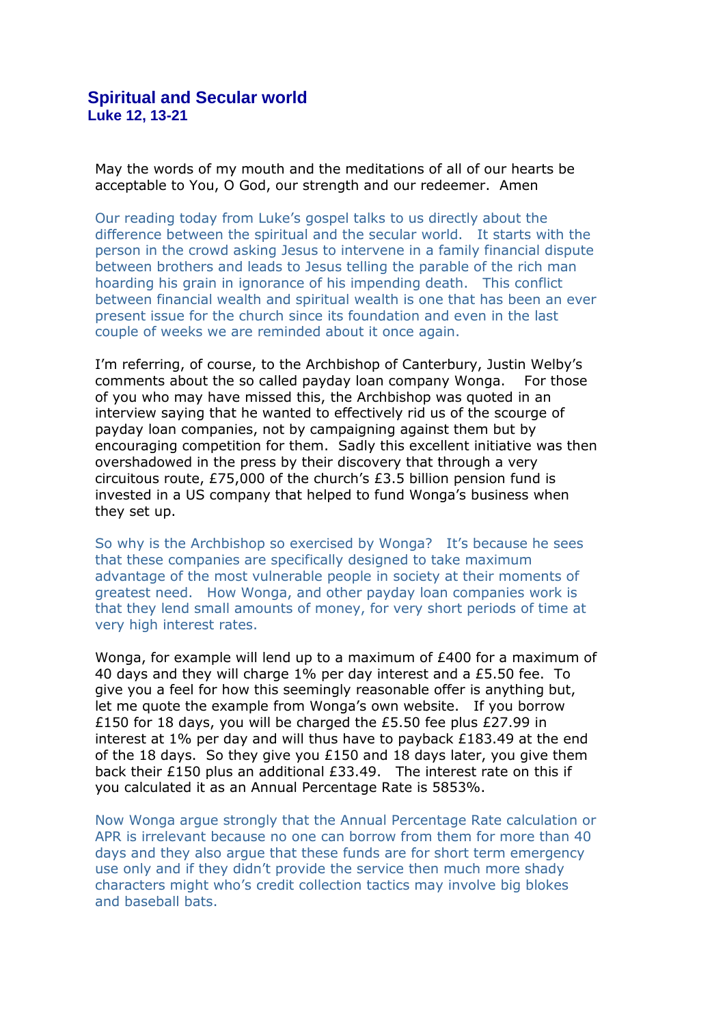May the words of my mouth and the meditations of all of our hearts be acceptable to You, O God, our strength and our redeemer. Amen

Our reading today from Luke's gospel talks to us directly about the difference between the spiritual and the secular world. It starts with the person in the crowd asking Jesus to intervene in a family financial dispute between brothers and leads to Jesus telling the parable of the rich man hoarding his grain in ignorance of his impending death. This conflict between financial wealth and spiritual wealth is one that has been an ever present issue for the church since its foundation and even in the last couple of weeks we are reminded about it once again.

I'm referring, of course, to the Archbishop of Canterbury, Justin Welby's comments about the so called payday loan company Wonga. For those of you who may have missed this, the Archbishop was quoted in an interview saying that he wanted to effectively rid us of the scourge of payday loan companies, not by campaigning against them but by encouraging competition for them. Sadly this excellent initiative was then overshadowed in the press by their discovery that through a very circuitous route, £75,000 of the church's £3.5 billion pension fund is invested in a US company that helped to fund Wonga's business when they set up.

So why is the Archbishop so exercised by Wonga? It's because he sees that these companies are specifically designed to take maximum advantage of the most vulnerable people in society at their moments of greatest need. How Wonga, and other payday loan companies work is that they lend small amounts of money, for very short periods of time at very high interest rates.

Wonga, for example will lend up to a maximum of £400 for a maximum of 40 days and they will charge 1% per day interest and a £5.50 fee. To give you a feel for how this seemingly reasonable offer is anything but, let me quote the example from Wonga's own website. If you borrow £150 for 18 days, you will be charged the £5.50 fee plus £27.99 in interest at 1% per day and will thus have to payback £183.49 at the end of the 18 days. So they give you £150 and 18 days later, you give them back their £150 plus an additional £33.49. The interest rate on this if you calculated it as an Annual Percentage Rate is 5853%.

Now Wonga argue strongly that the Annual Percentage Rate calculation or APR is irrelevant because no one can borrow from them for more than 40 days and they also argue that these funds are for short term emergency use only and if they didn't provide the service then much more shady characters might who's credit collection tactics may involve big blokes and baseball bats.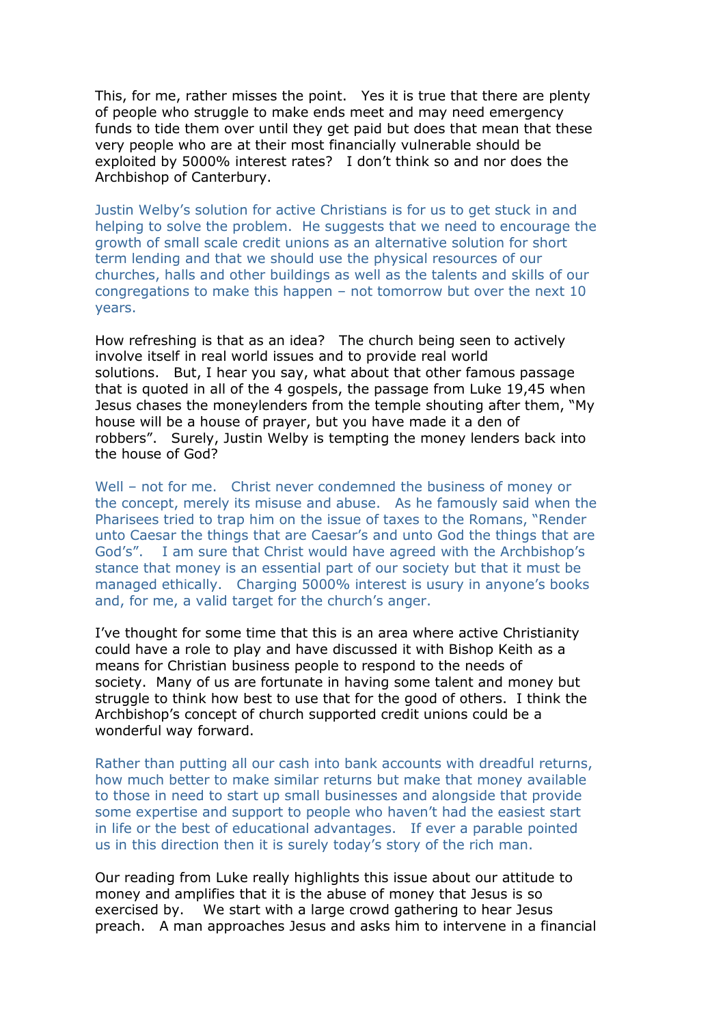This, for me, rather misses the point. Yes it is true that there are plenty of people who struggle to make ends meet and may need emergency funds to tide them over until they get paid but does that mean that these very people who are at their most financially vulnerable should be exploited by 5000% interest rates? I don't think so and nor does the Archbishop of Canterbury.

Justin Welby's solution for active Christians is for us to get stuck in and helping to solve the problem. He suggests that we need to encourage the growth of small scale credit unions as an alternative solution for short term lending and that we should use the physical resources of our churches, halls and other buildings as well as the talents and skills of our congregations to make this happen – not tomorrow but over the next 10 years.

How refreshing is that as an idea? The church being seen to actively involve itself in real world issues and to provide real world solutions. But, I hear you say, what about that other famous passage that is quoted in all of the 4 gospels, the passage from Luke 19,45 when Jesus chases the moneylenders from the temple shouting after them, "My house will be a house of prayer, but you have made it a den of robbers". Surely, Justin Welby is tempting the money lenders back into the house of God?

Well – not for me. Christ never condemned the business of money or the concept, merely its misuse and abuse. As he famously said when the Pharisees tried to trap him on the issue of taxes to the Romans, "Render unto Caesar the things that are Caesar's and unto God the things that are God's". I am sure that Christ would have agreed with the Archbishop's stance that money is an essential part of our society but that it must be managed ethically. Charging 5000% interest is usury in anyone's books and, for me, a valid target for the church's anger.

I've thought for some time that this is an area where active Christianity could have a role to play and have discussed it with Bishop Keith as a means for Christian business people to respond to the needs of society. Many of us are fortunate in having some talent and money but struggle to think how best to use that for the good of others. I think the Archbishop's concept of church supported credit unions could be a wonderful way forward.

Rather than putting all our cash into bank accounts with dreadful returns, how much better to make similar returns but make that money available to those in need to start up small businesses and alongside that provide some expertise and support to people who haven't had the easiest start in life or the best of educational advantages. If ever a parable pointed us in this direction then it is surely today's story of the rich man.

Our reading from Luke really highlights this issue about our attitude to money and amplifies that it is the abuse of money that Jesus is so exercised by. We start with a large crowd gathering to hear Jesus preach. A man approaches Jesus and asks him to intervene in a financial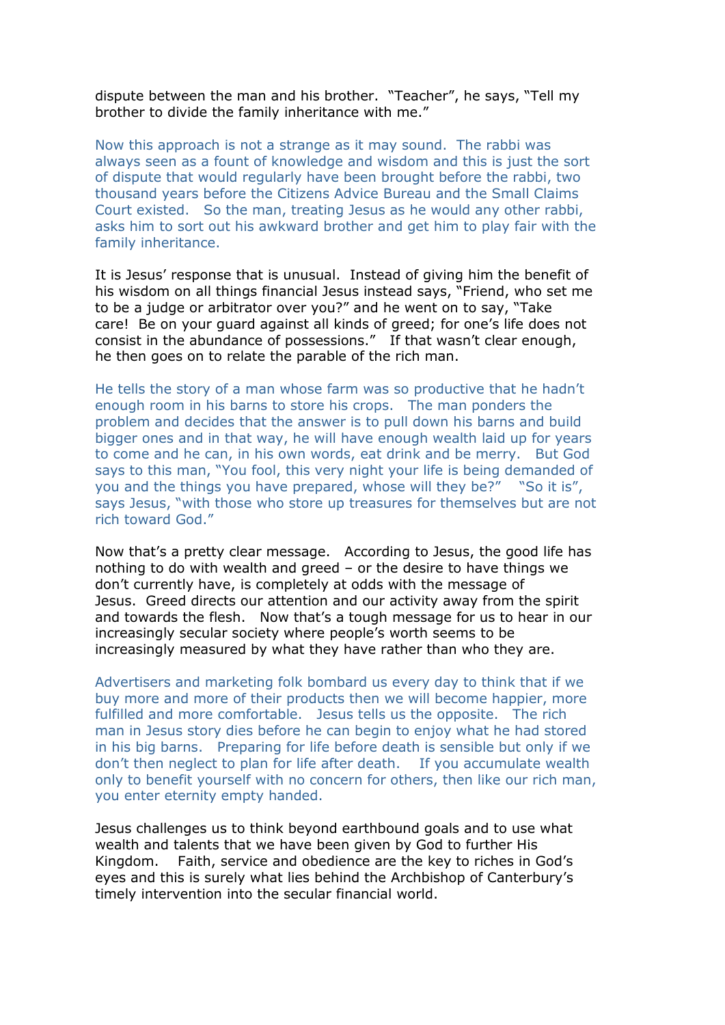dispute between the man and his brother. "Teacher", he says, "Tell my brother to divide the family inheritance with me."

Now this approach is not a strange as it may sound. The rabbi was always seen as a fount of knowledge and wisdom and this is just the sort of dispute that would regularly have been brought before the rabbi, two thousand years before the Citizens Advice Bureau and the Small Claims Court existed. So the man, treating Jesus as he would any other rabbi, asks him to sort out his awkward brother and get him to play fair with the family inheritance.

It is Jesus' response that is unusual. Instead of giving him the benefit of his wisdom on all things financial Jesus instead says, "Friend, who set me to be a judge or arbitrator over you?" and he went on to say, "Take care! Be on your guard against all kinds of greed; for one's life does not consist in the abundance of possessions." If that wasn't clear enough, he then goes on to relate the parable of the rich man.

He tells the story of a man whose farm was so productive that he hadn't enough room in his barns to store his crops. The man ponders the problem and decides that the answer is to pull down his barns and build bigger ones and in that way, he will have enough wealth laid up for years to come and he can, in his own words, eat drink and be merry. But God says to this man, "You fool, this very night your life is being demanded of you and the things you have prepared, whose will they be?" "So it is", says Jesus, "with those who store up treasures for themselves but are not rich toward God."

Now that's a pretty clear message. According to Jesus, the good life has nothing to do with wealth and greed – or the desire to have things we don't currently have, is completely at odds with the message of Jesus. Greed directs our attention and our activity away from the spirit and towards the flesh. Now that's a tough message for us to hear in our increasingly secular society where people's worth seems to be increasingly measured by what they have rather than who they are.

Advertisers and marketing folk bombard us every day to think that if we buy more and more of their products then we will become happier, more fulfilled and more comfortable. Jesus tells us the opposite. The rich man in Jesus story dies before he can begin to enjoy what he had stored in his big barns. Preparing for life before death is sensible but only if we don't then neglect to plan for life after death. If you accumulate wealth only to benefit yourself with no concern for others, then like our rich man, you enter eternity empty handed.

Jesus challenges us to think beyond earthbound goals and to use what wealth and talents that we have been given by God to further His Kingdom. Faith, service and obedience are the key to riches in God's eyes and this is surely what lies behind the Archbishop of Canterbury's timely intervention into the secular financial world.